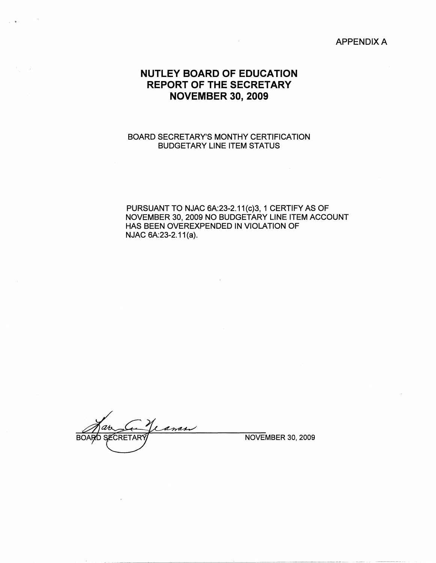APPENDIX A

# **NUTLEY BOARD OF EDUCATION REPORT OF THE SECRETARY NOVEMBER 30, 2009**

### BOARD SECRETARY'S MONTHY CERTIFICATION BUDGETARY LINE ITEM STATUS

PURSUANT TO NJAC 6A:23-2.11(c}3, 1 CERTIFY AS OF NOVEMBER 30, 2009 NO BUDGETARY LINE ITEM ACCOUNT HAS BEEN OVEREXPENDED IN VIOLATION OF NJAC 6A:23-2.11(a).

anas **BOARD SECRETAR** 

NOVEMBER 30, 2009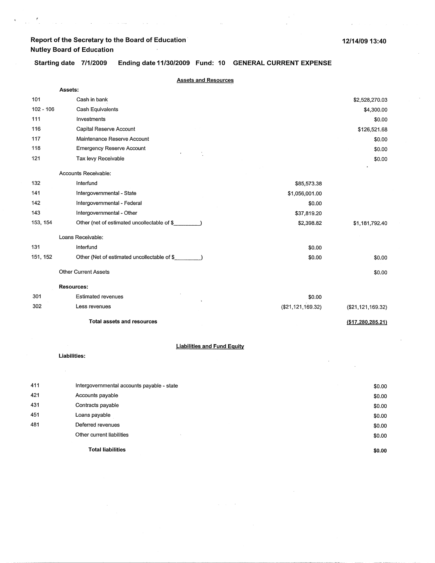$\mathbf{C}^{(n)}$  and  $\mathbf{C}^{(n)}$  are the set of the set of the set of the set of the set of the set of the set of the set of the set of the set of the set of the set of the set of the set of the set of the set of the set of

12/14/09 13:40

Starting date 7/1/2009 **Ending date 11/30/2009 Fund: 10 GENERAL CURRENT EXPENSE** 

|             | <b>Assets and Resources</b>                                  |                   |                   |  |  |
|-------------|--------------------------------------------------------------|-------------------|-------------------|--|--|
|             | Assets:                                                      |                   |                   |  |  |
| 101         | Cash in bank                                                 |                   | \$2,528,270.03    |  |  |
| $102 - 106$ | Cash Equivalents                                             |                   | \$4,300.00        |  |  |
| 111         | Investments                                                  |                   | \$0.00            |  |  |
| 116         | Capital Reserve Account                                      |                   | \$126,521.68      |  |  |
| 117         | Maintenance Reserve Account                                  |                   | \$0.00            |  |  |
| 118         | <b>Emergency Reserve Account</b>                             |                   | \$0.00            |  |  |
| 121         | Tax levy Receivable                                          |                   | \$0.00            |  |  |
|             | Accounts Receivable:                                         |                   |                   |  |  |
| 132         | Interfund                                                    | \$85,573.38       |                   |  |  |
| 141         | Intergovernmental - State                                    | \$1,056,001.00    |                   |  |  |
| 142         | Intergovernmental - Federal                                  | \$0.00            |                   |  |  |
| 143         | Intergovernmental - Other                                    | \$37,819.20       |                   |  |  |
| 153, 154    | Other (net of estimated uncollectable of \$                  | \$2,398.82        | \$1,181,792.40    |  |  |
|             | Loans Receivable:                                            |                   |                   |  |  |
| 131         | Interfund                                                    | \$0.00            |                   |  |  |
| 151, 152    | Other (Net of estimated uncollectable of \$<br>$\sim$ $\sim$ | \$0.00            | \$0.00            |  |  |
|             | <b>Other Current Assets</b>                                  |                   | \$0.00            |  |  |
|             | <b>Resources:</b>                                            |                   |                   |  |  |
| 301         | <b>Estimated revenues</b>                                    | \$0.00            |                   |  |  |
| 302         | Less revenues                                                | (\$21,121,169.32) | (\$21,121,169.32) |  |  |
|             | <b>Total assets and resources</b>                            |                   | (\$17,280,285.21) |  |  |
|             | <b>Liabilities and Fund Equity</b>                           |                   |                   |  |  |
|             | Liabilities:                                                 |                   |                   |  |  |

|     | <b>Total liabilities</b>                   | \$0.00 |
|-----|--------------------------------------------|--------|
|     | Other current liabilities                  | \$0.00 |
| 481 | Deferred revenues                          | \$0.00 |
| 451 | Loans payable                              | \$0.00 |
| 431 | Contracts payable                          | \$0.00 |
| 421 | Accounts payable                           | \$0.00 |
| 411 | Intergovernmental accounts payable - state | \$0.00 |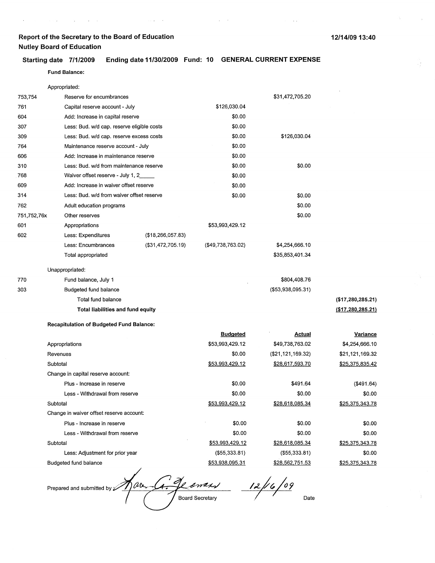#### **12/14/09 13:40**

### **Starting date 7/1/2009 Ending date 11/30/2009 Fund: 10 GENERAL CURRENT EXPENSE**

 $\sim 10^{11}$  km  $^{-1}$  m  $^{-1}$ 

#### Fund **Balance:**

 $\mathcal{A}$  is a set of  $\mathcal{A}$  . The set of  $\mathcal{A}$  is a set of  $\mathcal{A}$ 

 $\mathcal{A}^{\text{max}}$ 

|             | Appropriated:                                   |                   |                        |                        |                      |
|-------------|-------------------------------------------------|-------------------|------------------------|------------------------|----------------------|
| 753,754     | Reserve for encumbrances                        |                   |                        | \$31,472,705.20        |                      |
| 761         | Capital reserve account - July                  |                   | \$126,030.04           |                        |                      |
| 604         | Add: Increase in capital reserve                |                   | \$0.00                 |                        |                      |
| 307         | Less: Bud. w/d cap. reserve eligible costs      |                   | \$0.00                 |                        |                      |
| 309         | Less: Bud. w/d cap. reserve excess costs        |                   | \$0.00                 | \$126,030.04           |                      |
| 764         | Maintenance reserve account - July              |                   | \$0.00                 |                        |                      |
| 606         | Add: Increase in maintenance reserve            |                   | \$0.00                 |                        |                      |
| 310         | Less: Bud. w/d from maintenance reserve         |                   | \$0.00                 | \$0.00                 |                      |
| 768         | Waiver offset reserve - July 1, 2               |                   | \$0.00                 |                        |                      |
| 609         | Add: Increase in waiver offset reserve          |                   | \$0.00                 |                        |                      |
| 314         | Less: Bud. w/d from waiver offset reserve       |                   | \$0.00                 | \$0.00                 |                      |
| 762         | Adult education programs                        |                   |                        | \$0.00                 |                      |
| 751,752,76x | Other reserves                                  |                   |                        | \$0.00                 |                      |
| 601         | Appropriations                                  |                   | \$53,993,429.12        |                        |                      |
| 602         | Less: Expenditures                              | (\$18,266,057.83) |                        |                        |                      |
|             | Less: Encumbrances                              | (\$31,472,705.19) | ( \$49,738,763.02)     | \$4,254,666.10         |                      |
|             | Total appropriated                              |                   |                        | \$35,853,401.34        |                      |
|             | Unappropriated:                                 |                   |                        |                        |                      |
| 770         | Fund balance, July 1                            |                   |                        | \$804,408.76           |                      |
| 303         | Budgeted fund balance                           |                   |                        | (\$53,938,095.31)      |                      |
|             | Total fund balance                              |                   |                        |                        | (\$17,280,285.21)    |
|             | Total liabilities and fund equity               |                   |                        |                        | ( \$17, 280, 285.21) |
|             | <b>Recapitulation of Budgeted Fund Balance:</b> |                   |                        |                        |                      |
|             |                                                 |                   | <b>Budgeted</b>        | Actual                 | <b>Variance</b>      |
|             | Appropriations                                  |                   | \$53,993,429.12        | \$49,738,763.02        | \$4,254,666.10       |
|             | Revenues                                        |                   | \$0.00                 | (\$21,121,169.32)      | \$21,121,169.32      |
|             | Subtotal                                        |                   | <u>\$53,993,429.12</u> | <u>\$28,617,593.70</u> | \$25,375,835.42      |
|             | Change in capital reserve account:              |                   |                        |                        |                      |
|             | Plus - Increase in reserve                      |                   | \$0.00                 | \$491.64               | (\$491.64)           |
|             | Less - Withdrawal from reserve                  |                   | \$0.00                 | \$0.00                 | \$0.00               |
|             | Subtotal                                        |                   | \$53.993.429.12        | \$28.618.085.34        | \$25,375,343.78      |
|             | Change in waiver offset reserve account:        |                   |                        |                        |                      |
|             | Plus - Increase in reserve                      |                   | \$0.00                 | \$0.00                 | \$0.00               |
|             | Less - Withdrawal from reserve                  |                   | \$0.00                 | \$0.00                 | \$0.00               |
|             | Subtotal                                        |                   | \$53,993,429.12        | \$28,618,085.34        | \$25,375,343.78      |
|             | Less: Adjustment for prior year                 |                   | (\$55,333.81)          | (\$55,333.81)          | \$0.00               |
|             | Budgeted fund balance                           |                   | \$53,938,095.31        | \$28,562,751.53        | \$25,375,343.78      |

geomes  $12/6/09$ nar. -L4-Prepared and submitted by  $\hat{z}$ Board Secretary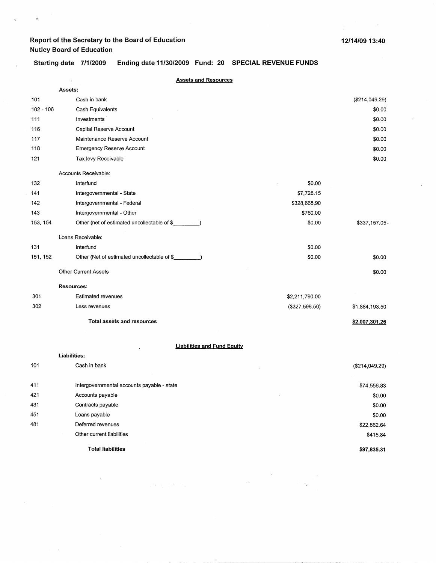÷.

 $\sim$ 

 $\mathbf{r}$ 

 $\mathbf{I}$ 

 $\sim$ 

### Starting date 7/1/2009 **Ending date 11/30/2009 Fund: 20 SPECIAL REVENUE FUNDS**

|             | <b>Assets and Resources</b>                 |                |                |
|-------------|---------------------------------------------|----------------|----------------|
|             | Assets:                                     |                |                |
| 101         | Cash in bank                                |                | (\$214,049.29) |
| $102 - 106$ | Cash Equivalents                            |                | \$0.00         |
| 111         | Investments                                 |                | \$0.00         |
| 116         | Capital Reserve Account                     |                | \$0.00         |
| 117         | Maintenance Reserve Account                 |                | \$0.00         |
| 118         | Emergency Reserve Account                   |                | \$0.00         |
| 121         | Tax levy Receivable                         |                | \$0.00         |
|             | Accounts Receivable:                        |                |                |
| 132         | Interfund                                   | \$0.00         |                |
| 141         | Intergovernmental - State                   | \$7,728.15     |                |
| 142         | Intergovernmental - Federal                 | \$328,668.90   |                |
| 143         | Intergovernmental - Other                   | \$760.00       |                |
| 153, 154    | Other (net of estimated uncollectable of \$ | \$0.00         | \$337,157.05   |
|             | Loans Receivable:                           |                |                |
| 131         | Interfund                                   | \$0.00         |                |
| 151, 152    | Other (Net of estimated uncollectable of \$ | \$0.00         | \$0.00         |
|             | <b>Other Current Assets</b>                 |                | \$0.00         |
|             | <b>Resources:</b>                           |                |                |
| 301         | <b>Estimated revenues</b>                   | \$2,211,790.00 |                |
| 302         | Less revenues                               | (\$327,596.50) | \$1,884,193.50 |
|             | Total assets and resources                  |                | \$2,007,301.26 |
|             | <b>Liabilities and Fund Equity</b>          |                |                |
|             | Liabilities:                                |                |                |
| 101         | Cash in bank                                |                | (\$214,049.29) |
| 411         | Intergovernmental accounts payable - state  |                | \$74,556.83    |
| 421         | Accounts payable                            |                | \$0.00         |
| 431         | Contracts payable                           |                | \$0.00         |
| 451         | Loans payable                               |                | \$0.00         |
| 481         | Deferred revenues                           |                | \$22,862.64    |
|             | Other current liabilities                   |                | \$415.84       |
|             | <b>Total liabilities</b>                    |                | \$97,835.31    |

 $\sim 10^{-1}$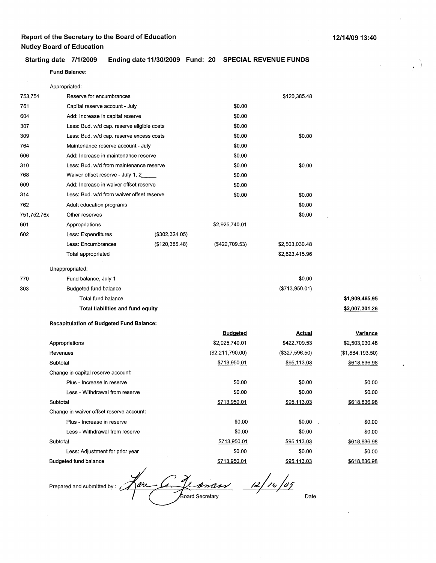### **Starting date 7/1/2009 Ending date 11/30/2009 Fund: 20 SPECIAL REVENUE FUNDS**

### **Fund Balance:**

|             | Appropriated:                                   |                 |                   |                    |                  |
|-------------|-------------------------------------------------|-----------------|-------------------|--------------------|------------------|
| 753,754     | Reserve for encumbrances                        |                 |                   | \$120,385.48       |                  |
| 761         | Capital reserve account - July                  |                 | \$0.00            |                    |                  |
| 604         | Add: Increase in capital reserve                |                 | \$0.00            |                    |                  |
| 307         | Less: Bud. w/d cap. reserve eligible costs      |                 | \$0.00            |                    |                  |
| 309         | Less: Bud. w/d cap. reserve excess costs        |                 | \$0.00            | \$0.00             |                  |
| 764         | Maintenance reserve account - July              |                 | \$0.00            |                    |                  |
| 606         | Add: Increase in maintenance reserve            |                 | \$0.00            |                    |                  |
| 310         | Less: Bud. w/d from maintenance reserve         |                 | \$0.00            | \$0.00             |                  |
| 768         | Waiver offset reserve - July 1, 2               |                 | \$0.00            |                    |                  |
| 609         | Add: Increase in waiver offset reserve          |                 | \$0.00            |                    |                  |
| 314         | Less: Bud. w/d from waiver offset reserve       |                 | \$0.00            | \$0.00             |                  |
| 762         | Adult education programs                        |                 |                   | \$0.00             |                  |
| 751,752,76x | Other reserves                                  |                 |                   | \$0.00             |                  |
| 601         | Appropriations                                  |                 | \$2,925,740.01    |                    |                  |
| 602         | Less: Expenditures                              | (\$302,324.05)  |                   |                    |                  |
|             | Less: Encumbrances                              | (\$120, 385.48) | $($ \$422,709.53) | \$2,503,030.48     |                  |
|             | Total appropriated                              |                 |                   | \$2,623,415.96     |                  |
|             | Unappropriated:                                 |                 |                   |                    |                  |
| 770         | Fund balance, July 1                            |                 |                   | \$0.00             |                  |
| 303         | Budgeted fund balance                           |                 |                   | (\$713,950.01)     |                  |
|             | Total fund balance                              |                 |                   |                    | \$1,909,465.95   |
|             | Total liabilities and fund equity               |                 |                   |                    | \$2,007,301.26   |
|             | <b>Recapitulation of Budgeted Fund Balance:</b> |                 |                   |                    |                  |
|             |                                                 |                 | <b>Budgeted</b>   | <b>Actual</b>      | <b>Variance</b>  |
|             | Appropriations                                  |                 | \$2,925,740.01    | \$422,709.53       | \$2,503,030.48   |
|             | Revenues                                        |                 | (\$2,211,790.00)  | (\$327,596.50)     | (\$1,884,193.50) |
|             | Subtotal                                        |                 | \$713,950.01      | <u>\$95,113.03</u> | \$618,836.98     |
|             | Change in capital reserve account:              |                 |                   |                    |                  |
|             | Plus - Increase in reserve                      |                 | \$0.00            | \$0.00             | \$0.00           |
|             | Less - Withdrawal from reserve                  |                 | \$0.00            | \$0.00             | \$0.00           |
|             | Subtotal                                        |                 | \$713,950.01      | \$95,113.03        | \$618,836.98     |
|             | Change in waiver offset reserve account:        |                 |                   |                    |                  |
|             | Plus - Increase in reserve                      |                 | \$0.00            | \$0.00             | \$0.00           |
|             | Less - Withdrawal from reserve                  |                 | \$0.00            | \$0.00             | \$0.00           |
|             | Subtotal                                        |                 | \$713,950.01      | \$95,113.03        | \$618,836.98     |
|             | Less: Adjustment for prior year                 |                 | \$0.00            | \$0.00             | \$0.00           |
|             | Budgeted fund balance                           |                 | \$713,950.01      | \$95,113.03        | \$618,836.98     |

fare G. Loman 12/16/09 Prepared and submitted by: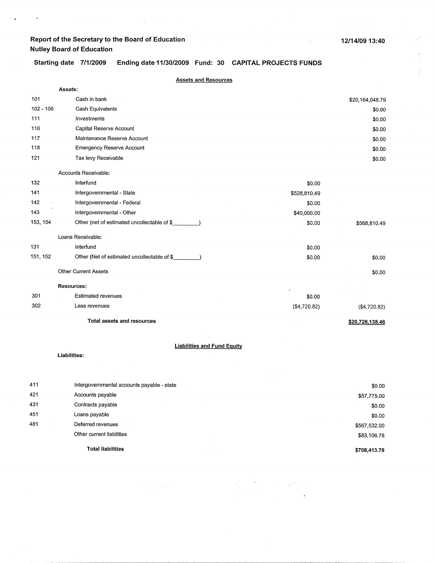$\bar{z}$ 

 $\lambda$ 

Starting date 7/1/2009 **Ending date 11/30/2009 Fund: 30 CAPITAL PROJECTS FUNDS** 

|             | <b>Assets and Resources</b>                 |              |                 |
|-------------|---------------------------------------------|--------------|-----------------|
|             | Assets:                                     |              |                 |
| 101         | Cash in bank                                |              | \$20,164,048.79 |
| $102 - 106$ | Cash Equivalents                            |              | \$0.00          |
| 111         | Investments                                 |              | \$0.00          |
| 116         | Capital Reserve Account                     |              | \$0.00          |
| 117         | Maintenance Reserve Account                 |              | \$0.00          |
| 118         | <b>Emergency Reserve Account</b>            |              | \$0.00          |
| 121         | Tax levy Receivable                         |              | \$0.00          |
|             | Accounts Receivable:                        |              |                 |
| 132         | Interfund                                   | \$0.00       |                 |
| 141         | Intergovernmental - State                   | \$528,810.49 |                 |
| 142         | Intergovernmental - Federal                 | \$0.00       |                 |
| 143         | Intergovernmental - Other                   | \$40,000.00  |                 |
| 153, 154    | Other (net of estimated uncollectable of \$ | \$0.00       | \$568,810.49    |
|             | Loans Receivable:                           |              |                 |
| 131         | Interfund                                   | \$0.00       |                 |
| 151, 152    | Other (Net of estimated uncollectable of \$ | \$0.00       | \$0.00          |
|             | <b>Other Current Assets</b>                 |              | \$0.00          |
|             | <b>Resources:</b>                           |              |                 |
| 301         | <b>Estimated revenues</b>                   | \$0.00       |                 |
| 302         | Less revenues                               | (\$4,720.82) | (\$4,720.82)    |
|             | <b>Total assets and resources</b>           |              | \$20,728,138.46 |
|             |                                             |              |                 |

### **Liabilities and Fund Equity**

**Liabilities:** 

| 411 | Intergovernmental accounts payable - state | \$0.00       |
|-----|--------------------------------------------|--------------|
| 421 | Accounts payable                           | \$57,775.00  |
| 431 | Contracts payable                          | \$0.00       |
| 451 | Loans payable                              | \$0.00       |
| 481 | Deferred revenues                          | \$567,532.00 |
|     | Other current liabilities                  | \$83,106.78  |
|     | <b>Total liabilities</b>                   | \$708,413.78 |

 $\label{eq:2.1} \begin{array}{l} \mathcal{F}^{(0)}_{\mathcal{F}_{\mathcal{G}}^{\mathcal{G}}}(x) = \mathcal{F}^{(0)}_{\mathcal{G}}(x)\\ \mathcal{F}^{(0)}_{\mathcal{G}}(x) = \mathcal{F}^{(0)}_{\mathcal{G}}(x) \end{array}$ 

a<br>Santa B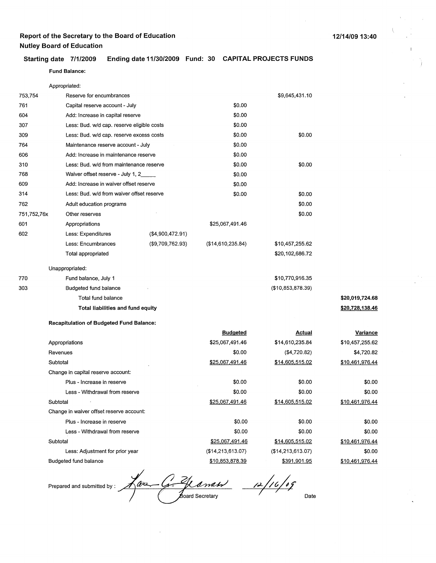### **12/14/09 13:40**

#### **Starting date 7/1/2009 Ending date 11/30/2009 Fund: 30 CAPITAL PROJECTS FUNDS**

#### **Fund Balance:**

|             | Appropriated:                                   |                                          |                        |                   |                 |
|-------------|-------------------------------------------------|------------------------------------------|------------------------|-------------------|-----------------|
| 753,754     | Reserve for encumbrances                        |                                          |                        | \$9,645,431.10    |                 |
| 761         | Capital reserve account - July                  |                                          | \$0.00                 |                   |                 |
| 604         | Add: Increase in capital reserve                |                                          | \$0.00                 |                   |                 |
| 307         | Less: Bud. w/d cap. reserve eligible costs      |                                          | \$0.00                 |                   |                 |
| 309         |                                                 | Less: Bud. w/d cap. reserve excess costs |                        | \$0.00            |                 |
| 764         | Maintenance reserve account - July              |                                          | \$0.00                 |                   |                 |
| 606         | Add: Increase in maintenance reserve            |                                          | \$0.00                 |                   |                 |
| 310         | Less: Bud. w/d from maintenance reserve         |                                          | \$0.00                 | \$0.00            |                 |
| 768         | Waiver offset reserve - July 1, 2_              |                                          | \$0.00                 |                   |                 |
| 609         | Add: Increase in waiver offset reserve          |                                          | \$0.00                 |                   |                 |
| 314         | Less: Bud. w/d from waiver offset reserve       |                                          | \$0.00                 | \$0.00            |                 |
| 762         | Adult education programs                        |                                          |                        | \$0.00            |                 |
| 751,752,76x | Other reserves                                  |                                          |                        | \$0.00            |                 |
| 601         | Appropriations                                  |                                          | \$25,067,491.46        |                   |                 |
| 602         | Less: Expenditures                              | (\$4,900,472.91)                         |                        |                   |                 |
|             | Less: Encumbrances                              | (\$9,709,762.93)                         | (\$14,610,235.84)      | \$10,457,255.62   |                 |
|             | Total appropriated                              |                                          |                        | \$20,102,686.72   |                 |
|             | Unappropriated:                                 |                                          |                        |                   |                 |
| 770         | Fund balance, July 1                            |                                          |                        | \$10,770,916.35   |                 |
| 303         | Budgeted fund balance                           |                                          |                        | (\$10,853,878.39) |                 |
|             | Total fund balance                              |                                          |                        |                   | \$20,019,724.68 |
|             | Total liabilities and fund equity               |                                          |                        |                   | \$20,728,138.46 |
|             | <b>Recapitulation of Budgeted Fund Balance:</b> |                                          |                        |                   |                 |
|             |                                                 |                                          | <b>Budgeted</b>        | Actual            | <b>Variance</b> |
|             | Appropriations                                  |                                          | \$25,067,491.46        | \$14,610,235.84   | \$10,457,255.62 |
|             | Revenues                                        |                                          | \$0.00                 | (\$4,720.82)      | \$4,720.82      |
|             | Subtotal                                        |                                          | \$25,067,491.46        | \$14,605,515.02   | \$10,461,976.44 |
|             | Change in capital reserve account:              |                                          |                        |                   |                 |
|             | Plus - Increase in reserve                      |                                          | \$0.00                 | \$0.00            | \$0.00          |
|             | Less - Withdrawal from reserve                  |                                          | \$0.00                 | \$0.00            | \$0.00          |
|             | Subtotal                                        |                                          | <u>\$25,067,491.46</u> | \$14,605,515.02   | \$10,461,976.44 |
|             | Change in waiver offset reserve account:        |                                          |                        |                   |                 |
|             | Plus - Increase in reserve                      |                                          | \$0.00                 | \$0.00            | \$0.00          |
|             | Less - Withdrawal from reserve                  |                                          | \$0.00                 | \$0.00            | \$0.00          |
|             | Subtotal                                        |                                          | \$25,067,491.46        | \$14,605,515.02   | \$10,461,976.44 |
|             | Less: Adjustment for prior year                 |                                          | (\$14,213,613.07)      | (\$14,213,613.07) | \$0.00          |

Budgeted fund balance

Prepared and submitted by: 1 and 1 compared and submitted by: 1 and 1 compared Secretary

\$10.853.878.39

Date

\$10.461,976.44

\$391,901.95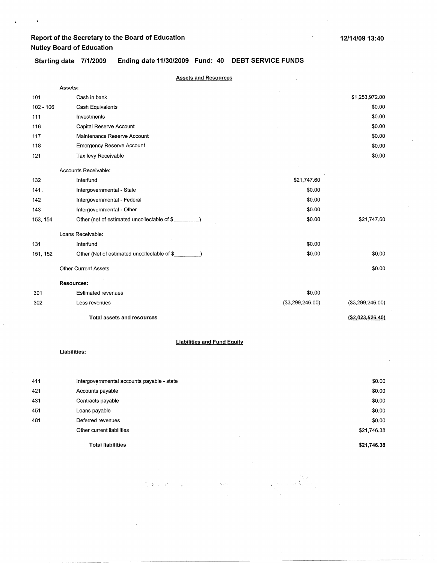$\ddot{\phantom{0}}$ 

**\$21,746.38** 

 $\label{eq:1} \left\langle \mathbf{X}_{\mathcal{A}}\right\rangle_{\mathcal{B}} = \left\langle \mathbf{X}_{\mathcal{A}}\right\rangle_{\mathcal{B}} = \left\langle \mathbf{X}_{\mathcal{A}}\right\rangle_{\mathcal{B}}$ 

 $\widetilde{\mathcal{H}}_{\mathcal{A}}(\mathfrak{F}_{\mathcal{A}}(\mathbf{x}))=\mathcal{O}(\mathcal{H}_{\mathcal{A}}(\mathbf{x}))=\mathcal{H}_{\mathcal{A}}(\mathbf{x})$ 

Starting date 7/1/2009 **Ending date 11/30/2009 Fund: 40 DEBT SERVICE FUNDS** 

|           | <b>Assets and Resources</b>                                  |                   |                     |
|-----------|--------------------------------------------------------------|-------------------|---------------------|
|           | Assets:                                                      |                   |                     |
| 101       | Cash in bank                                                 |                   | \$1,253,972.00      |
| 102 - 106 | Cash Equivalents                                             |                   | \$0.00              |
| 111       | Investments                                                  |                   | \$0.00              |
| 116       | Capital Reserve Account                                      |                   | \$0.00              |
| 117       | Maintenance Reserve Account                                  |                   | \$0.00              |
| 118       | <b>Emergency Reserve Account</b>                             |                   | \$0.00              |
| 121       | Tax levy Receivable                                          |                   | \$0.00              |
|           | Accounts Receivable:                                         |                   |                     |
| 132       | Interfund                                                    | \$21,747.60       |                     |
| 141.      | Intergovernmental - State                                    | \$0.00            |                     |
| 142       | Intergovernmental - Federal                                  | \$0.00            |                     |
| 143       | Intergovernmental - Other                                    | \$0.00            |                     |
| 153, 154  | Other (net of estimated uncollectable of \$                  | \$0.00            | \$21,747.60         |
|           | Loans Receivable:                                            |                   |                     |
| 131       | Interfund                                                    | \$0.00            |                     |
| 151, 152  | Other (Net of estimated uncollectable of \$<br>$\rightarrow$ | \$0.00            | \$0.00              |
|           | <b>Other Current Assets</b>                                  |                   | \$0.00              |
|           | <b>Resources:</b>                                            |                   |                     |
| 301       | <b>Estimated revenues</b>                                    | \$0.00            |                     |
| 302       | Less revenues                                                | ( \$3,299,246.00) | ( \$3,299,246.00)   |
|           | <b>Total assets and resources</b>                            |                   | $($ \$2,023,526.40) |
|           | <b>Liabilities and Fund Equity</b>                           |                   |                     |
|           | Liabilities:                                                 |                   |                     |
|           |                                                              |                   |                     |
| 411       | Intergovernmental accounts payable - state                   |                   | \$0.00              |
| 421       | Accounts payable                                             |                   | \$0.00              |
| 431       | Contracts payable                                            |                   | \$0.00              |
| 451       | Loans payable                                                |                   | \$0.00              |
| 481       | Deferred revenues                                            |                   | \$0.00              |
|           | Other current liabilities                                    |                   | \$21,746.38         |

**Total liabilities**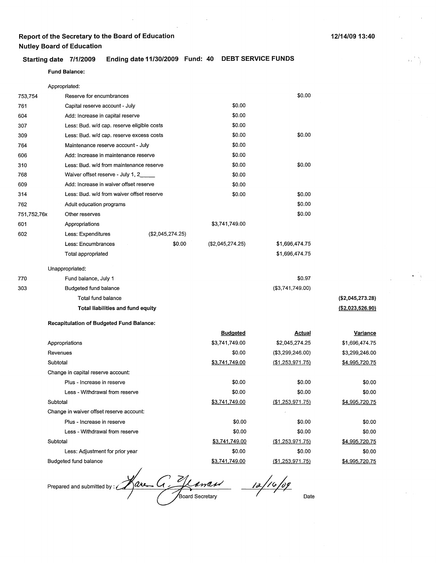**Fund Balance:** 

|  | Starting date 7/1/2009 Ending date 11/30/2009 Fund: 40 DEBT SERVICE FUNDS |  |
|--|---------------------------------------------------------------------------|--|
|  |                                                                           |  |

|             | Appropriated:                                   |                  |                       |                     |                       |
|-------------|-------------------------------------------------|------------------|-----------------------|---------------------|-----------------------|
| 753,754     | Reserve for encumbrances                        |                  |                       | \$0.00              |                       |
| 761         | Capital reserve account - July                  |                  | \$0.00                |                     |                       |
| 604         | Add: Increase in capital reserve                |                  | \$0.00                |                     |                       |
| 307         | Less: Bud. w/d cap. reserve eligible costs      |                  | \$0.00                |                     |                       |
| 309         | Less: Bud. w/d cap. reserve excess costs        |                  | \$0.00                | \$0.00              |                       |
| 764         | Maintenance reserve account - July              |                  | \$0.00                |                     |                       |
| 606         | Add: Increase in maintenance reserve            |                  | \$0.00                |                     |                       |
| 310         | Less: Bud. w/d from maintenance reserve         |                  | \$0.00                | \$0.00              |                       |
| 768         | Waiver offset reserve - July 1, 2               |                  | \$0.00                |                     |                       |
| 609         | Add: Increase in waiver offset reserve          |                  | \$0.00                |                     |                       |
| 314         | Less: Bud. w/d from waiver offset reserve       |                  | \$0.00                | \$0.00              |                       |
| 762         | Adult education programs                        |                  |                       | \$0.00              |                       |
| 751,752,76x | Other reserves                                  |                  |                       | \$0.00              |                       |
| 601         | Appropriations                                  |                  | \$3,741,749.00        |                     |                       |
| 602         | Less: Expenditures                              | (\$2,045,274.25) |                       |                     |                       |
|             | Less: Encumbrances                              | \$0.00           | (\$2,045,274.25)      | \$1,696,474.75      |                       |
|             | Total appropriated                              |                  |                       | \$1,696,474.75      |                       |
|             | Unappropriated:                                 |                  |                       |                     |                       |
| 770         | Fund balance, July 1                            |                  |                       | \$0.97              |                       |
| 303         | Budgeted fund balance                           |                  |                       | (\$3,741,749.00)    |                       |
|             | Total fund balance                              |                  |                       |                     | (\$2,045,273.28)      |
|             | Total liabilities and fund equity               |                  |                       |                     | ( \$2,023,526.90)     |
|             | <b>Recapitulation of Budgeted Fund Balance:</b> |                  |                       |                     |                       |
|             |                                                 |                  | <b>Budgeted</b>       | <b>Actual</b>       | Variance              |
|             | Appropriations                                  |                  | \$3,741,749.00        | \$2,045,274.25      | \$1,696,474.75        |
|             | Revenues                                        |                  | \$0.00                | (\$3,299,246.00)    | \$3,299,246.00        |
|             | Subtotal                                        |                  | \$3,741,749.00        | ( \$1, 253, 971.75) | <u>\$4,995,720.75</u> |
|             | Change in capital reserve account:              |                  |                       |                     |                       |
|             | Plus - Increase in reserve                      |                  | \$0.00                | \$0.00              | \$0.00                |
|             | Less - Withdrawal from reserve                  |                  | \$0.00                | \$0.00              | \$0.00                |
|             | Subtotal                                        |                  | <u>\$3,741,749.00</u> | $($ \$1,253,971.75) | \$4,995,720.75        |
|             | Change in waiver offset reserve account:        |                  |                       |                     |                       |
|             | Plus - Increase in reserve                      |                  | \$0.00                | \$0.00              | \$0.00                |
|             | Less - Withdrawal from reserve                  |                  | \$0.00                | \$0.00              | \$0.00                |
|             | Subtotal                                        |                  | \$3,741,749.00        | (\$1,253,971.75)    | \$4,995,720.75        |
|             | Less: Adjustment for prior year                 |                  | \$0.00                | \$0.00              | \$0.00                |
|             | <b>Budgeted fund balance</b>                    |                  | \$3,741,749.00        | ( \$1,253,971.75)   | \$4,995,720.75        |
|             |                                                 |                  |                       |                     |                       |

Rave G. Glaman 12/16/09 Prepared and submitted by :  $\mathcal C$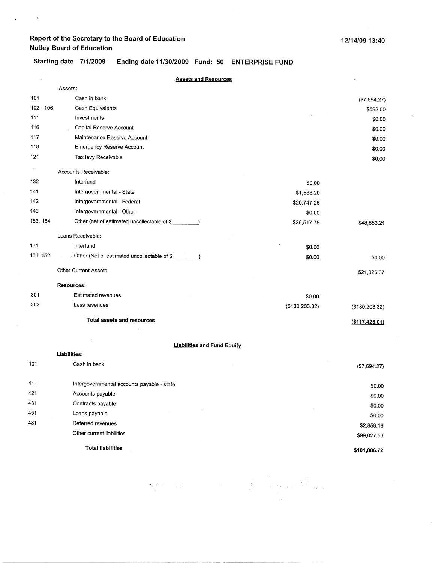$\hat{\mathbf{r}}$ 

 $\sim$   $\sim$ 

# Starting date 7/1/2009 Ending date 11/30/2009 Fund: 50 ENTERPRISE FUND

|             | <b>Assets and Resources</b>                 |                  |                 |
|-------------|---------------------------------------------|------------------|-----------------|
|             | Assets:                                     |                  |                 |
| 101         | Cash in bank                                |                  | (\$7,694.27)    |
| $102 - 106$ | Cash Equivalents                            |                  | \$592.00        |
| 111         | Investments                                 |                  | \$0.00          |
| 116         | Capital Reserve Account                     |                  | \$0.00          |
| 117         | Maintenance Reserve Account                 |                  | \$0.00          |
| 118         | <b>Emergency Reserve Account</b>            |                  | \$0.00          |
| 121         | Tax levy Receivable                         |                  | \$0.00          |
|             | Accounts Receivable:                        |                  |                 |
| 132         | Interfund                                   | \$0.00           |                 |
| 141         | Intergovernmental - State                   | \$1,588.20       |                 |
| 142         | Intergovernmental - Federal                 | \$20,747.26      |                 |
| 143         | Intergovernmental - Other                   | \$0.00           |                 |
| 153, 154    | Other (net of estimated uncollectable of \$ | \$26,517.75      | \$48,853.21     |
|             | Loans Receivable:                           |                  |                 |
| 131         | Interfund                                   | \$0.00           |                 |
| 151, 152    | Other (Net of estimated uncollectable of \$ | \$0.00           | \$0.00          |
|             | <b>Other Current Assets</b>                 |                  | \$21,026.37     |
|             | Resources:                                  |                  |                 |
| 301         | <b>Estimated revenues</b>                   | \$0.00           |                 |
| 302         | Less revenues                               | ( \$180, 203.32) | (\$180, 203.32) |
|             | Total assets and resources                  |                  | (\$117,426.01)  |
|             |                                             |                  |                 |
|             | <b>Liabilities and Fund Equity</b>          |                  |                 |
|             | Liabilities:                                |                  |                 |
| 101         | Cash in bank                                |                  | (\$7,694.27)    |
| 411         | Intergovernmental accounts payable - state  |                  | \$0.00          |
| 421         | Accounts payable                            |                  | \$0.00          |
| 431         | Contracts payable                           |                  | \$0.00          |
| 451         | $\alpha$<br>Loans payable                   |                  | \$0.00          |
| 481         | Deferred revenues                           |                  | \$2,859.16      |
|             | Other current liabilities                   |                  | \$99,027.56     |
|             | <b>Total liabilities</b>                    |                  |                 |
|             |                                             |                  | \$101,886.72    |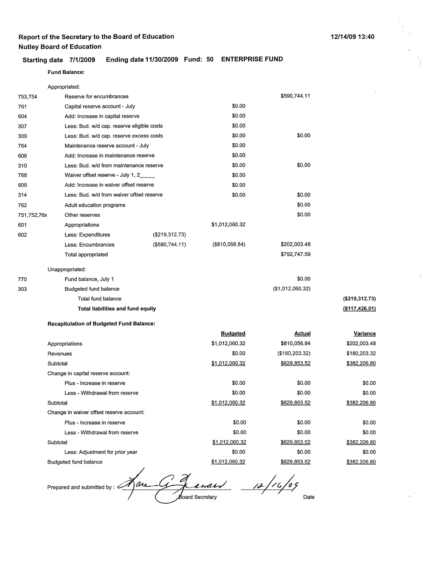### **Starting date 7/1/2009 Ending date 11/30/2009 Fund: 50 ENTERPRISE FUND**

#### **Fund Balance:**

Budgeted fund balance

|             | Appropriated:                                   |                |                 |                  |                  |
|-------------|-------------------------------------------------|----------------|-----------------|------------------|------------------|
| 753,754     | Reserve for encumbrances                        |                |                 | \$590,744.11     |                  |
| 761         | Capital reserve account - July                  |                | \$0.00          |                  |                  |
| 604         | Add: Increase in capital reserve                |                | \$0.00          |                  |                  |
| 307         | Less: Bud. w/d cap. reserve eligible costs      |                | \$0.00          |                  |                  |
| 309         | Less: Bud. w/d cap. reserve excess costs        |                | \$0.00          | \$0.00           |                  |
| 764         | Maintenance reserve account - July              |                | \$0.00          |                  |                  |
| 606         | Add: Increase in maintenance reserve            |                | \$0.00          |                  |                  |
| 310         | Less: Bud. w/d from maintenance reserve         |                | \$0.00          | \$0.00           |                  |
| 768         | Waiver offset reserve - July 1, 2               |                | \$0.00          |                  |                  |
| 609         | Add: Increase in waiver offset reserve          |                | \$0.00          |                  |                  |
| 314         | Less: Bud. w/d from waiver offset reserve       |                | \$0.00          | \$0.00           |                  |
| 762         | Adult education programs                        |                |                 | \$0.00           |                  |
| 751,752,76x | Other reserves                                  |                |                 | \$0.00           |                  |
| 601         | Appropriations                                  |                | \$1,012,060.32  |                  |                  |
| 602         | Less: Expenditures                              | (\$219,312.73) |                 |                  |                  |
|             | Less: Encumbrances                              | (\$590,744.11) | (S810, 056.84)  | \$202,003.48     |                  |
|             | Total appropriated                              |                |                 | \$792,747.59     |                  |
|             | Unappropriated:                                 |                |                 |                  |                  |
| 770         | Fund balance, July 1                            |                |                 | \$0.00           |                  |
| 303         | Budgeted fund balance                           |                |                 | (\$1,012,060.32) |                  |
|             | Total fund balance                              |                |                 |                  | (\$219,312.73)   |
|             | Total liabilities and fund equity               |                |                 |                  | ( \$117, 426.01) |
|             | <b>Recapitulation of Budgeted Fund Balance:</b> |                |                 |                  |                  |
|             |                                                 |                | <b>Budgeted</b> | <u>Actual</u>    | Variance         |
|             | Appropriations                                  |                | \$1,012,060.32  | \$810,056.84     | \$202,003.48     |
|             | Revenues                                        |                | \$0.00          | ( \$180, 203.32) | \$180,203.32     |
|             | Subtotal                                        |                | \$1,012,060.32  | \$629,853.52     | \$382,206.80     |
|             | Change in capital reserve account:              |                |                 |                  |                  |
|             | Plus - Increase in reserve                      |                | \$0.00          | \$0.00           | \$0.00           |
|             | Less - Withdrawal from reserve                  |                | \$0.00          | \$0.00           | \$0.00           |
|             | Subtotal                                        |                | \$1,012,060.32  | \$629,853.52     | \$382,206.80     |
|             | Change in waiver offset reserve account:        |                |                 |                  |                  |
|             | Plus - Increase in reserve                      |                | \$0.00          | \$0.00           | \$0.00           |
|             | Less - Withdrawal from reserve                  |                | \$0.00          | \$0.00           | \$0.00           |
|             | Subtotal                                        |                | \$1,012,060.32  | \$629,853.52     | \$382,206.80     |
|             | Less: Adjustment for prior year                 |                | \$0.00          | \$0.00           | \$0.00           |

Prepared and submitted by: <u>A are G J analy</u> 12/16/09 Date

\$1,012,060.32

\$382,206.80

\$629,853.52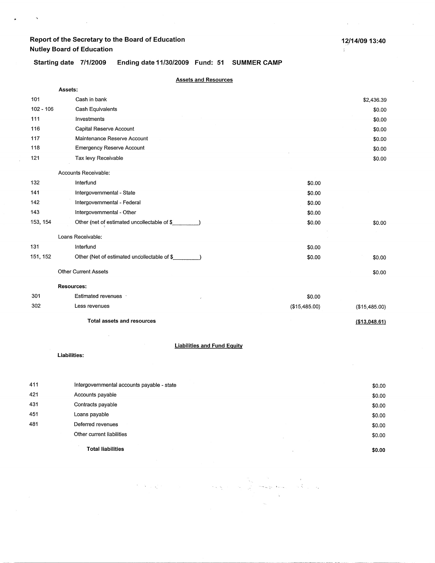$\bar{\mathcal{N}}$ 

 $\ddot{\phantom{1}}$ 

 $\overline{\phantom{a}}$ 

 $\sim$ 

 $\frac{1}{2}$ 

Starting date 7/1/2009 **Ending date 11/30/2009 Fund: 51 SUMMER CAMP** 

|             | <b>Assets and Resources</b>                        |               |                |
|-------------|----------------------------------------------------|---------------|----------------|
|             | Assets:                                            |               |                |
| 101         | Cash in bank                                       |               | \$2,436.39     |
| $102 - 106$ | Cash Equivalents                                   |               | \$0.00         |
| 111         | Investments                                        |               | \$0.00         |
| 116         | Capital Reserve Account                            |               | \$0.00         |
| 117         | Maintenance Reserve Account                        |               | \$0.00         |
| 118         | <b>Emergency Reserve Account</b>                   |               | \$0.00         |
| 121         | Tax levy Receivable                                |               | \$0.00         |
|             | Accounts Receivable:                               |               |                |
| 132         | Interfund                                          | \$0.00        |                |
| 141         | Intergovernmental - State                          | \$0.00        |                |
| 142         | Intergovernmental - Federal                        | \$0.00        |                |
| 143         | Intergovernmental - Other                          | \$0.00        |                |
| 153, 154    | Other (net of estimated uncollectable of \$        | \$0.00        | \$0.00         |
|             | Loans Receivable:                                  |               |                |
| 131         | Interfund                                          | \$0.00        |                |
| 151, 152    | Other (Net of estimated uncollectable of \$        | \$0.00        | \$0.00         |
|             | <b>Other Current Assets</b>                        |               | \$0.00         |
|             | <b>Resources:</b>                                  |               |                |
| 301         | Estimated revenues .                               | \$0.00        |                |
| 302         | Less revenues                                      | (\$15,485.00) | (\$15,485.00)  |
|             | <b>Total assets and resources</b>                  |               | ( \$13,048.61) |
|             |                                                    |               |                |
|             | <b>Liabilities and Fund Equity</b><br>Liabilities: |               |                |
|             |                                                    |               |                |
|             |                                                    |               |                |

|     | <b>Total liabilities</b>                   | \$0.00 |
|-----|--------------------------------------------|--------|
|     | Other current liabilities                  | \$0.00 |
| 481 | Deferred revenues                          | \$0.00 |
| 451 | Loans payable                              | \$0.00 |
| 431 | Contracts payable                          | \$0.00 |
| 421 | Accounts payable                           | \$0.00 |
| 411 | Intergovernmental accounts payable - state | \$0.00 |

 $\Delta_{\rm{eff}}$ 

 $\hat{\tau}_{\rm in}$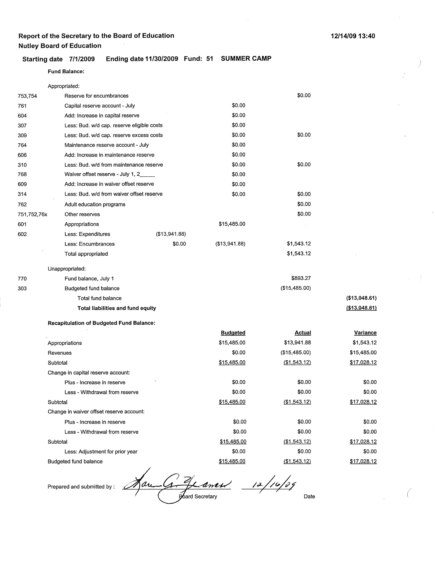Reserve for encumbrances

### Starting date 7/1/2009 Ending date 11/30/2009 Fund: 51 SUMMER CAMP

#### Fund **Balance:**

Appropriated:

753,754

| 761         | Capital reserve account - July             |               | \$0.00        |               |                |
|-------------|--------------------------------------------|---------------|---------------|---------------|----------------|
| 604         | Add: Increase in capital reserve           |               | \$0.00        |               |                |
| 307         | Less: Bud. w/d cap. reserve eligible costs |               | \$0.00        |               |                |
| 309         | Less: Bud. w/d cap. reserve excess costs   |               | \$0.00        | \$0.00        |                |
| 764         | Maintenance reserve account - July         |               | \$0.00        |               |                |
| 606         | Add: Increase in maintenance reserve       |               | \$0.00        |               |                |
| 310         | Less: Bud. w/d from maintenance reserve    |               | \$0.00        | \$0.00        |                |
| 768         | Waiver offset reserve - July 1, 2          |               | \$0.00        |               |                |
| 609         | Add: Increase in waiver offset reserve     |               | \$0.00        |               |                |
| 314         | Less: Bud. w/d from waiver offset reserve  |               | \$0.00        | \$0.00        |                |
| 762         | Adult education programs                   |               |               | \$0.00        |                |
| 751,752,76x | Other reserves                             |               |               | \$0.00        |                |
| 601         | Appropriations                             |               | \$15,485.00   |               |                |
| 602         | Less: Expenditures                         | (\$13,941.88) |               |               |                |
|             | Less: Encumbrances                         | \$0.00        | (\$13,941.88) | \$1,543.12    |                |
|             | Total appropriated                         |               |               | \$1,543.12    |                |
|             | Unappropriated:                            |               |               |               |                |
| 770         | Fund balance, July 1                       |               |               | \$893.27      |                |
| 303         | Budgeted fund balance                      |               |               | (\$15,485.00) |                |
|             | Total fund balance                         |               |               |               | ( \$13,048.61) |
|             | <b>Total liabilities and fund equity</b>   |               |               |               | (\$13,048.61)  |

**Recapitulation of Budgeted Fund Balance:** 

| <b>Budgeted</b> | Actual        | <b>Variance</b> |
|-----------------|---------------|-----------------|
| \$15,485.00     | \$13,941.88   | \$1,543.12      |
| \$0.00          | (\$15,485.00) | \$15,485.00     |
| \$15,485.00     | (\$1,543.12)  | \$17,028.12     |
|                 |               |                 |
| \$0.00          | \$0.00        | \$0.00          |
| \$0.00          | \$0.00        | \$0.00          |
| \$15,485.00     | (\$1,543.12)  | \$17,028.12     |
|                 |               |                 |
| \$0.00          | \$0.00        | \$0.00          |
| \$0.00          | \$0.00        | \$0.00          |
| \$15,485.00     | ( \$1,543.12) | \$17,028.12     |
| \$0.00          | \$0.00        | \$0.00          |
| \$15,485.00     | (\$1,543.12)  | \$17,028.12     |
|                 |               |                 |

*J*<br>*Janes 12/16/09*<br>Poard Secretary Aar بىرىگ

Prepared and submitted by :

)

*(* 

\$0.00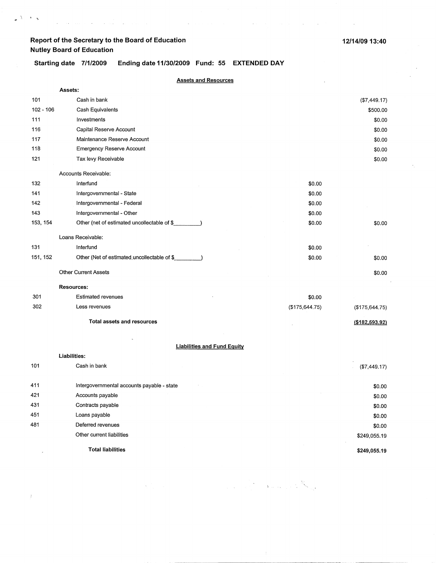$\mathcal{L}^{\text{max}}$ 

 $\langle \cdot \rangle_{\Delta}$  $\Lambda$  $\overline{a}$ 

 $\bar{z}$ 

Starting date 7/1/2009 Ending date 11/30/2009 Fund: 55 EXTENDED DAY

 $\Delta \sim 10^7$ 

 $\mathcal{L}$ 

 $\sim 10^{-1}$ 

 $\sim 10^{-10}$ 

| <b>Assets and Resources</b> |                                                              |                |                      |  |
|-----------------------------|--------------------------------------------------------------|----------------|----------------------|--|
|                             | Assets:                                                      |                |                      |  |
| 101                         | Cash in bank                                                 |                | (\$7,449.17)         |  |
| $102 - 106$                 | Cash Equivalents                                             |                | \$500.00             |  |
| 111                         | Investments                                                  |                | \$0.00               |  |
| 116                         | Capital Reserve Account                                      |                | \$0.00               |  |
| 117                         | Maintenance Reserve Account                                  |                | \$0.00               |  |
| 118                         | <b>Emergency Reserve Account</b>                             |                | \$0.00               |  |
| 121                         | Tax levy Receivable                                          |                | \$0.00               |  |
|                             | Accounts Receivable:                                         |                |                      |  |
| 132                         | Interfund                                                    | \$0.00         |                      |  |
| 141                         | Intergovernmental - State                                    | \$0.00         |                      |  |
| 142                         | Intergovernmental - Federal                                  | \$0.00         |                      |  |
| 143                         | Intergovernmental - Other                                    | \$0.00         |                      |  |
| 153, 154                    | Other (net of estimated uncollectable of \$                  | \$0.00         | \$0.00               |  |
|                             | Loans Receivable:                                            |                |                      |  |
| 131                         | Interfund                                                    | \$0.00         |                      |  |
| 151, 152                    | Other (Net of estimated uncollectable of \$<br>$\rightarrow$ | \$0.00         | \$0.00               |  |
|                             | <b>Other Current Assets</b>                                  |                | \$0.00               |  |
|                             | <b>Resources:</b>                                            |                |                      |  |
| 301                         | <b>Estimated revenues</b>                                    | \$0.00         |                      |  |
| 302                         | Less revenues                                                | (\$175,644.75) | $($ \$175,644.75 $)$ |  |
|                             | <b>Total assets and resources</b>                            |                | (\$182,593.92)       |  |
|                             | <b>Liabilities and Fund Equity</b>                           |                |                      |  |
|                             | Liabilities:                                                 |                |                      |  |
| 101                         | Cash in bank                                                 |                | (\$7,449.17)         |  |
| 411                         | Intergovernmental accounts payable - state                   |                | \$0.00               |  |
| 421                         | Accounts payable                                             |                | \$0.00               |  |
| 431                         | Contracts payable                                            |                | \$0.00               |  |
| 451                         | Loans payable                                                |                | \$0.00               |  |
| 481                         | Deferred revenues                                            |                | \$0.00               |  |
|                             | Other current liabilities                                    |                | \$249,055.19         |  |

**Total liabilities** 

 $\overline{1}$ 

**\$249,055.19** 

 $\label{eq:1} \mathcal{N}_{\text{max}} = \sum_{\mathbf{p} \in \mathcal{P}(\mathcal{P})} \mathcal{N}_{\text{max}}$